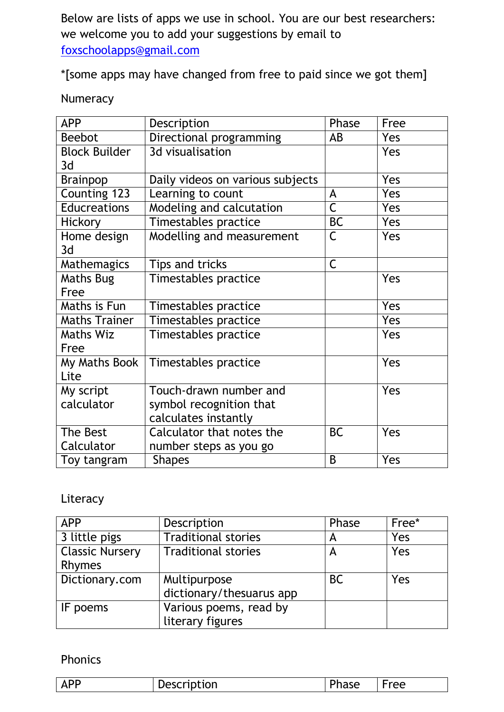Below are lists of apps we use in school. You are our best researchers: we welcome you to add your suggestions by email to [foxschoolapps@gmail.com](mailto:foxschoolapps@gmail.com)

\*[some apps may have changed from free to paid since we got them]

| Numeracy |
|----------|
|----------|

| <b>APP</b>           | Description                      | Phase                   | Free |
|----------------------|----------------------------------|-------------------------|------|
| <b>Beebot</b>        | Directional programming          | AB                      | Yes  |
| <b>Block Builder</b> | 3d visualisation                 |                         | Yes  |
| 3d                   |                                  |                         |      |
| Brainpop             | Daily videos on various subjects |                         | Yes  |
| Counting 123         | Learning to count                | A                       | Yes  |
| <b>Educreations</b>  | Modeling and calcutation         | $\overline{\mathsf{C}}$ | Yes  |
| <b>Hickory</b>       | Timestables practice             | <b>BC</b>               | Yes  |
| Home design          | Modelling and measurement        | $\mathsf C$             | Yes  |
| 3d                   |                                  |                         |      |
| Mathemagics          | Tips and tricks                  | $\mathsf C$             |      |
| <b>Maths Bug</b>     | Timestables practice             |                         | Yes  |
| Free                 |                                  |                         |      |
| Maths is Fun         | Timestables practice             |                         | Yes  |
| <b>Maths Trainer</b> | Timestables practice             |                         | Yes  |
| <b>Maths Wiz</b>     | Timestables practice             |                         | Yes  |
| Free                 |                                  |                         |      |
| My Maths Book        | Timestables practice             |                         | Yes  |
| Lite                 |                                  |                         |      |
| My script            | Touch-drawn number and           |                         | Yes  |
| calculator           | symbol recognition that          |                         |      |
|                      | calculates instantly             |                         |      |
| The Best             | Calculator that notes the        | <b>BC</b>               | Yes  |
| Calculator           | number steps as you go           |                         |      |
| Toy tangram          | <b>Shapes</b>                    | B                       | Yes  |

### Literacy

| <b>APP</b>             | Description                | Phase     | Free* |
|------------------------|----------------------------|-----------|-------|
| 3 little pigs          | <b>Traditional stories</b> | А         | Yes   |
| <b>Classic Nursery</b> | <b>Traditional stories</b> | A         | Yes   |
| Rhymes                 |                            |           |       |
| Dictionary.com         | Multipurpose               | <b>BC</b> | Yes   |
|                        | dictionary/thesuarus app   |           |       |
| IF poems               | Various poems, read by     |           |       |
|                        | literary figures           |           |       |

#### Phonics

|  | . AF | cription | -<br>JV. | <sup>-</sup> ree |
|--|------|----------|----------|------------------|
|--|------|----------|----------|------------------|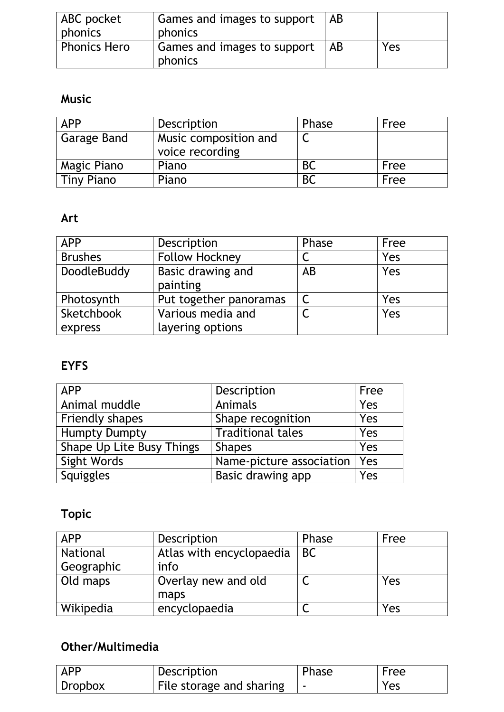| <b>ABC</b> pocket | Games and images to support   AB   |     |
|-------------------|------------------------------------|-----|
| phonics           | phonics                            |     |
| Phonics Hero      | Games and images to support $ AB $ | Yes |
|                   | phonics                            |     |

#### **Music**

| <b>APP</b>        | Description                              | Phase          | Free |
|-------------------|------------------------------------------|----------------|------|
| Garage Band       | Music composition and<br>voice recording |                |      |
| Magic Piano       | Piano                                    |                | Free |
| <b>Tiny Piano</b> | Piano                                    | B <sub>C</sub> | Free |

#### **Art**

| <b>APP</b>     | Description            | Phase | Free |
|----------------|------------------------|-------|------|
| <b>Brushes</b> | <b>Follow Hockney</b>  |       | Yes  |
| DoodleBuddy    | Basic drawing and      | AB    | Yes  |
|                | painting               |       |      |
| Photosynth     | Put together panoramas |       | Yes  |
| Sketchbook     | Various media and      |       | Yes  |
| express        | layering options       |       |      |

## **EYFS**

| <b>APP</b>                | Description              | Free |
|---------------------------|--------------------------|------|
| Animal muddle             | Animals                  | Yes  |
| <b>Friendly shapes</b>    | Shape recognition        | Yes  |
| <b>Humpty Dumpty</b>      | <b>Traditional tales</b> | Yes  |
| Shape Up Lite Busy Things | <b>Shapes</b>            | Yes  |
| Sight Words               | Name-picture association | Yes  |
| <b>Squiggles</b>          | Basic drawing app        | Yes  |

# **Topic**

| <b>APP</b> | Description              | Phase     | Free |
|------------|--------------------------|-----------|------|
| National   | Atlas with encyclopaedia | <b>BC</b> |      |
| Geographic | info                     |           |      |
| Old maps   | Overlay new and old      |           | Yes  |
|            | maps                     |           |      |
| Wikipedia  | encyclopaedia            |           | Yes  |

## **Other/Multimedia**

| <b>APP</b> | Description              | Phase | Free |
|------------|--------------------------|-------|------|
| Dropbox    | File storage and sharing |       | Yes  |